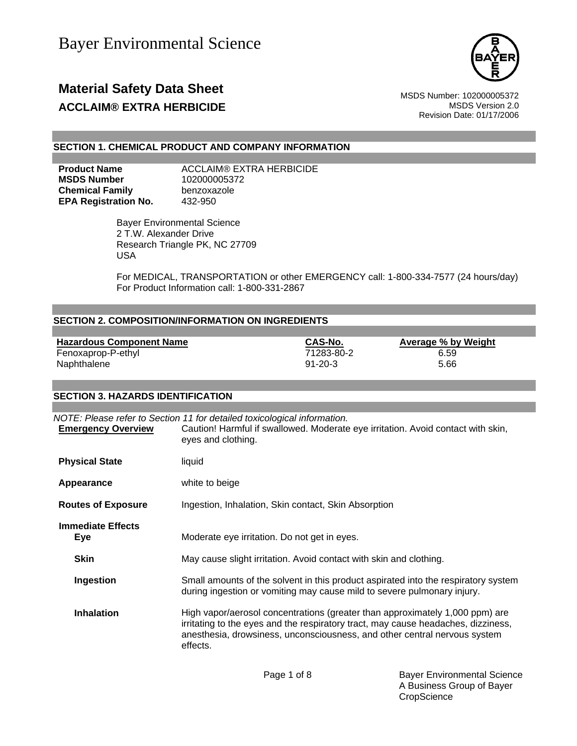

### **Material Safety Data Sheet** MSDS Number: 102000005372 **ACCLAIM® EXTRA HERBICIDE ACCLAIM® EXTRA HERBICIDE**

Revision Date: 01/17/2006

#### **SECTION 1. CHEMICAL PRODUCT AND COMPANY INFORMATION**

**MSDS Number** 102000005372 **Chemical Family benzoxazole EPA Registration No.** 432-950

**Product Name** ACCLAIM® EXTRA HERBICIDE

 Bayer Environmental Science 2 T.W. Alexander Drive Research Triangle PK, NC 27709 USA

For MEDICAL, TRANSPORTATION or other EMERGENCY call: 1-800-334-7577 (24 hours/day) For Product Information call: 1-800-331-2867

#### **SECTION 2. COMPOSITION/INFORMATION ON INGREDIENTS**

**Hazardous Component Name CAS-No. Average % by Weight** Fenoxaprop-P-ethyl 71283-80-2 6.59 Naphthalene 5.66

**SECTION 3. HAZARDS IDENTIFICATION** 

### *NOTE: Please refer to Section 11 for detailed toxicological information.* **Emergency Overview** Caution! Harmful if swallowed. Moderate eye irritation. Avoid contact with skin, eyes and clothing. **Physical State** liquid **Appearance** white to beige **Routes of Exposure Ingestion, Inhalation, Skin contact, Skin Absorption Immediate Effects Eye** Moderate eye irritation. Do not get in eyes. **Skin** May cause slight irritation. Avoid contact with skin and clothing. **Ingestion** Small amounts of the solvent in this product aspirated into the respiratory system during ingestion or vomiting may cause mild to severe pulmonary injury. **Inhalation** High vapor/aerosol concentrations (greater than approximately 1,000 ppm) are irritating to the eyes and the respiratory tract, may cause headaches, dizziness, anesthesia, drowsiness, unconsciousness, and other central nervous system effects.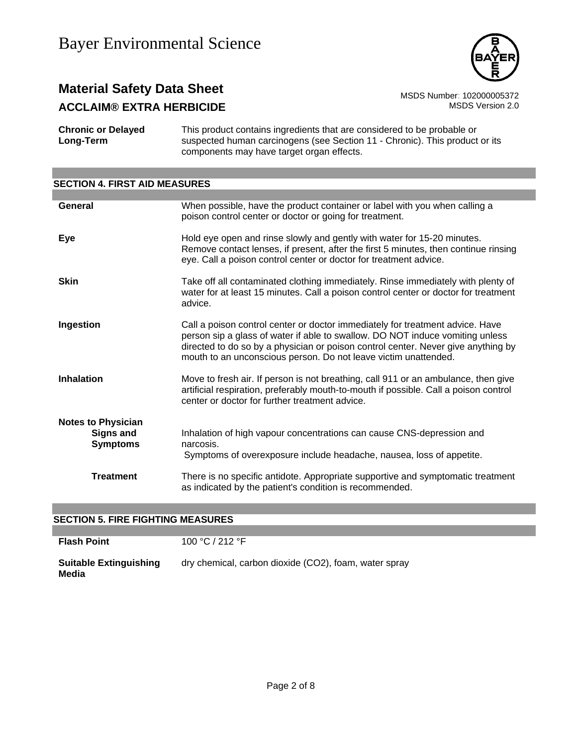

# **Material Safety Data Sheet**<br>**ACCL AIM® FXTRA HERBICIDE** MSDS Number: 102000005372<br>MSDS Version 2.0 **ACCLAIM® EXTRA HERBICIDE**

**Chronic or Delayed Long-Term** This product contains ingredients that are considered to be probable or suspected human carcinogens (see Section 11 - Chronic). This product or its components may have target organ effects.

# **SECTION 4. FIRST AID MEASURES**

| General                                                   | When possible, have the product container or label with you when calling a<br>poison control center or doctor or going for treatment.                                                                                                                                                                                  |
|-----------------------------------------------------------|------------------------------------------------------------------------------------------------------------------------------------------------------------------------------------------------------------------------------------------------------------------------------------------------------------------------|
| Eye                                                       | Hold eye open and rinse slowly and gently with water for 15-20 minutes.<br>Remove contact lenses, if present, after the first 5 minutes, then continue rinsing<br>eye. Call a poison control center or doctor for treatment advice.                                                                                    |
| <b>Skin</b>                                               | Take off all contaminated clothing immediately. Rinse immediately with plenty of<br>water for at least 15 minutes. Call a poison control center or doctor for treatment<br>advice.                                                                                                                                     |
| Ingestion                                                 | Call a poison control center or doctor immediately for treatment advice. Have<br>person sip a glass of water if able to swallow. DO NOT induce vomiting unless<br>directed to do so by a physician or poison control center. Never give anything by<br>mouth to an unconscious person. Do not leave victim unattended. |
| <b>Inhalation</b>                                         | Move to fresh air. If person is not breathing, call 911 or an ambulance, then give<br>artificial respiration, preferably mouth-to-mouth if possible. Call a poison control<br>center or doctor for further treatment advice.                                                                                           |
| <b>Notes to Physician</b><br>Signs and<br><b>Symptoms</b> | Inhalation of high vapour concentrations can cause CNS-depression and<br>narcosis.<br>Symptoms of overexposure include headache, nausea, loss of appetite.                                                                                                                                                             |
| <b>Treatment</b>                                          | There is no specific antidote. Appropriate supportive and symptomatic treatment<br>as indicated by the patient's condition is recommended.                                                                                                                                                                             |

#### **SECTION 5. FIRE FIGHTING MEASURES**

| <b>Flash Point</b>                     | 100 °C / 212 °F                                       |
|----------------------------------------|-------------------------------------------------------|
| <b>Suitable Extinguishing</b><br>Media | dry chemical, carbon dioxide (CO2), foam, water spray |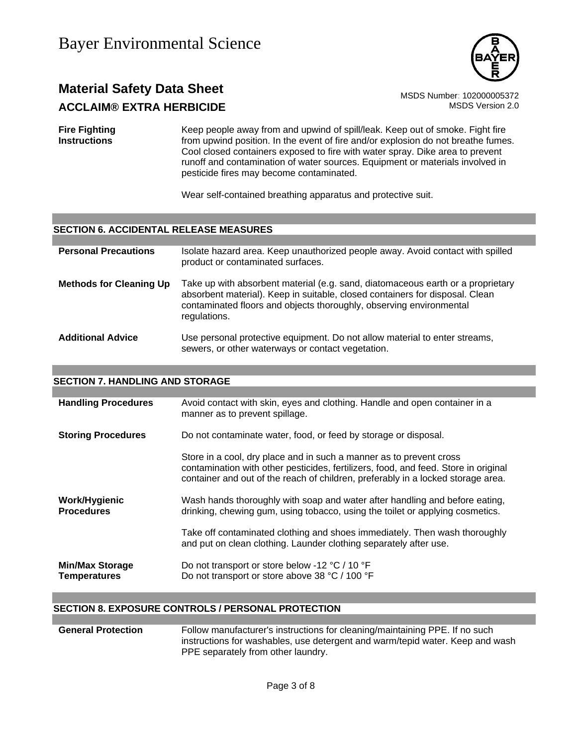

# **Material Safety Data Sheet** MSDS Number: 102000005372 **ACCLAIM® EXTRA HERBICIDE MSDS** Version 2.0

**Fire Fighting Instructions** Keep people away from and upwind of spill/leak. Keep out of smoke. Fight fire from upwind position. In the event of fire and/or explosion do not breathe fumes. Cool closed containers exposed to fire with water spray. Dike area to prevent runoff and contamination of water sources. Equipment or materials involved in pesticide fires may become contaminated.

Wear self-contained breathing apparatus and protective suit.

#### **SECTION 6. ACCIDENTAL RELEASE MEASURES**

| <b>Personal Precautions</b>    | Isolate hazard area. Keep unauthorized people away. Avoid contact with spilled<br>product or contaminated surfaces.                                                                                                                                    |
|--------------------------------|--------------------------------------------------------------------------------------------------------------------------------------------------------------------------------------------------------------------------------------------------------|
| <b>Methods for Cleaning Up</b> | Take up with absorbent material (e.g. sand, diatomaceous earth or a proprietary<br>absorbent material). Keep in suitable, closed containers for disposal. Clean<br>contaminated floors and objects thoroughly, observing environmental<br>regulations. |
| <b>Additional Advice</b>       | Use personal protective equipment. Do not allow material to enter streams,<br>sewers, or other waterways or contact vegetation.                                                                                                                        |

#### **SECTION 7. HANDLING AND STORAGE**

| <b>Handling Procedures</b>                    | Avoid contact with skin, eyes and clothing. Handle and open container in a<br>manner as to prevent spillage.                                                                                                                                   |
|-----------------------------------------------|------------------------------------------------------------------------------------------------------------------------------------------------------------------------------------------------------------------------------------------------|
| <b>Storing Procedures</b>                     | Do not contaminate water, food, or feed by storage or disposal.                                                                                                                                                                                |
|                                               | Store in a cool, dry place and in such a manner as to prevent cross<br>contamination with other pesticides, fertilizers, food, and feed. Store in original<br>container and out of the reach of children, preferably in a locked storage area. |
| Work/Hygienic<br><b>Procedures</b>            | Wash hands thoroughly with soap and water after handling and before eating,<br>drinking, chewing gum, using tobacco, using the toilet or applying cosmetics.                                                                                   |
|                                               | Take off contaminated clothing and shoes immediately. Then wash thoroughly<br>and put on clean clothing. Launder clothing separately after use.                                                                                                |
| <b>Min/Max Storage</b><br><b>Temperatures</b> | Do not transport or store below -12 °C / 10 °F<br>Do not transport or store above 38 °C / 100 °F                                                                                                                                               |

#### **SECTION 8. EXPOSURE CONTROLS / PERSONAL PROTECTION**

| <b>General Protection</b> | Follow manufacturer's instructions for cleaning/maintaining PPE. If no such   |
|---------------------------|-------------------------------------------------------------------------------|
|                           | instructions for washables, use detergent and warm/tepid water. Keep and wash |
|                           | PPE separately from other laundry.                                            |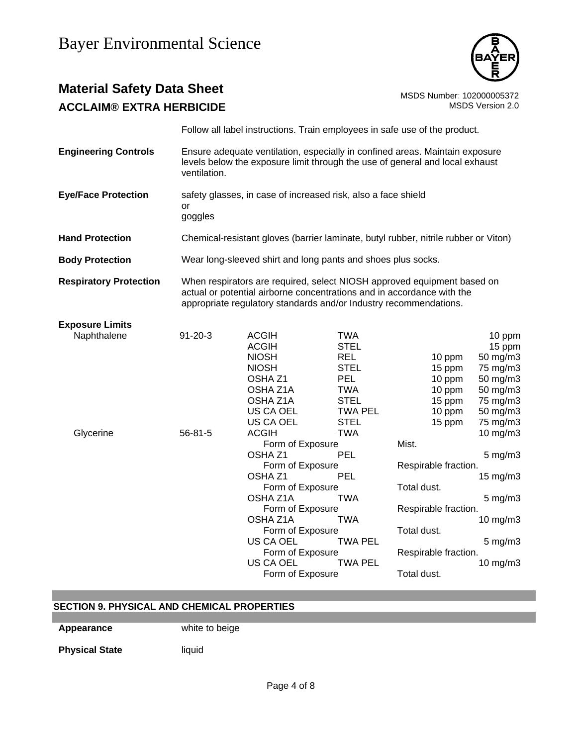

# **Material Safety Data Sheet**<br>**ACCLAIM® EXTRA HERBICIDE** MSDS Number: 102000005372<br>MSDS Version 2.0 **ACCLAIM® EXTRA HERBICIDE**

|                                       |               | Follow all label instructions. Train employees in safe use of the product.                                                                                                                                                                                                 |                                                                                                              |                                                                                                                                      |                                                                                                                    |
|---------------------------------------|---------------|----------------------------------------------------------------------------------------------------------------------------------------------------------------------------------------------------------------------------------------------------------------------------|--------------------------------------------------------------------------------------------------------------|--------------------------------------------------------------------------------------------------------------------------------------|--------------------------------------------------------------------------------------------------------------------|
| <b>Engineering Controls</b>           | ventilation.  | Ensure adequate ventilation, especially in confined areas. Maintain exposure<br>levels below the exposure limit through the use of general and local exhaust                                                                                                               |                                                                                                              |                                                                                                                                      |                                                                                                                    |
| <b>Eye/Face Protection</b>            | or<br>goggles | safety glasses, in case of increased risk, also a face shield                                                                                                                                                                                                              |                                                                                                              |                                                                                                                                      |                                                                                                                    |
| <b>Hand Protection</b>                |               | Chemical-resistant gloves (barrier laminate, butyl rubber, nitrile rubber or Viton)                                                                                                                                                                                        |                                                                                                              |                                                                                                                                      |                                                                                                                    |
| <b>Body Protection</b>                |               | Wear long-sleeved shirt and long pants and shoes plus socks.                                                                                                                                                                                                               |                                                                                                              |                                                                                                                                      |                                                                                                                    |
| <b>Respiratory Protection</b>         |               | When respirators are required, select NIOSH approved equipment based on<br>actual or potential airborne concentrations and in accordance with the<br>appropriate regulatory standards and/or Industry recommendations.                                                     |                                                                                                              |                                                                                                                                      |                                                                                                                    |
| <b>Exposure Limits</b><br>Naphthalene | $91 - 20 - 3$ | <b>ACGIH</b><br><b>ACGIH</b><br><b>NIOSH</b><br><b>NIOSH</b><br>OSHA <sub>Z1</sub><br>OSHA Z1A<br>OSHA Z1A<br>US CA OEL                                                                                                                                                    | <b>TWA</b><br><b>STEL</b><br><b>REL</b><br><b>STEL</b><br>PEL<br><b>TWA</b><br><b>STEL</b><br><b>TWA PEL</b> | 10 ppm<br>15 ppm<br>10 ppm<br>10 ppm<br>15 ppm<br>10 ppm                                                                             | 10 ppm<br>15 ppm<br>50 mg/m3<br>75 mg/m3<br>50 mg/m3<br>50 mg/m3<br>75 mg/m3<br>50 mg/m3                           |
| Glycerine                             | $56 - 81 - 5$ | US CA OEL<br><b>ACGIH</b><br>Form of Exposure<br>OSHA <sub>Z1</sub><br>Form of Exposure<br>OSHA <sub>Z1</sub><br>Form of Exposure<br>OSHA Z1A<br>Form of Exposure<br>OSHA Z1A<br>Form of Exposure<br><b>US CA OEL</b><br>Form of Exposure<br>US CA OEL<br>Form of Exposure | <b>STEL</b><br><b>TWA</b><br>PEL<br>PEL<br><b>TWA</b><br><b>TWA</b><br><b>TWA PEL</b><br><b>TWA PEL</b>      | 15 ppm<br>Mist.<br>Respirable fraction.<br>Total dust.<br>Respirable fraction.<br>Total dust.<br>Respirable fraction.<br>Total dust. | 75 mg/m3<br>$10$ mg/m $3$<br>$5$ mg/m $3$<br>15 mg/m3<br>$5$ mg/m $3$<br>10 mg/m3<br>$5$ mg/m $3$<br>$10$ mg/m $3$ |

### **SECTION 9. PHYSICAL AND CHEMICAL PROPERTIES**

**Appearance** white to beige

**Physical State** liquid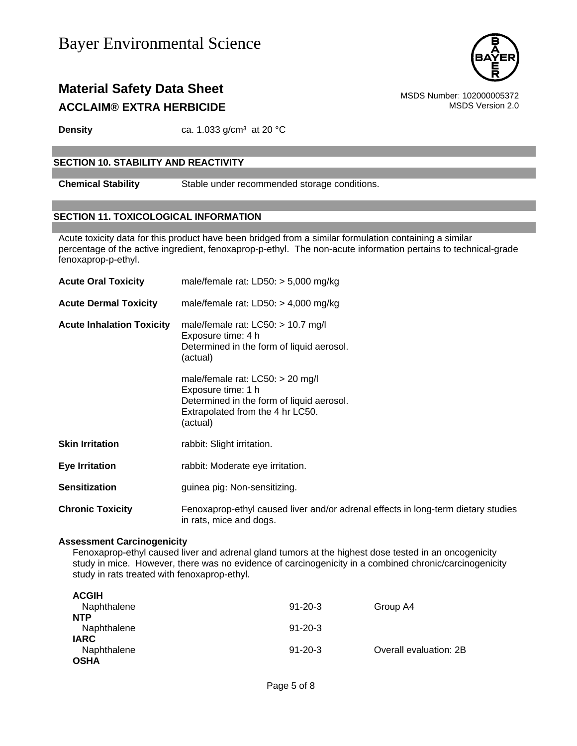

### **Material Safety Data Sheet** MSDS Number: 102000005372 **ACCLAIM® EXTRA HERBICIDE MSDS** Version 2.0

**Density** ca. 1.033 g/cm<sup>3</sup> at 20 °C

#### **SECTION 10. STABILITY AND REACTIVITY**

**Chemical Stability** Stable under recommended storage conditions.

#### **SECTION 11. TOXICOLOGICAL INFORMATION**

Acute toxicity data for this product have been bridged from a similar formulation containing a similar percentage of the active ingredient, fenoxaprop-p-ethyl. The non-acute information pertains to technical-grade fenoxaprop-p-ethyl.

| <b>Acute Oral Toxicity</b>       | male/female rat: $LD50: > 5,000$ mg/kg                                                                                                                |  |  |
|----------------------------------|-------------------------------------------------------------------------------------------------------------------------------------------------------|--|--|
| <b>Acute Dermal Toxicity</b>     | male/female rat: $LD50: > 4,000$ mg/kg                                                                                                                |  |  |
| <b>Acute Inhalation Toxicity</b> | male/female rat: $LC50:$ > 10.7 mg/l<br>Exposure time: 4 h<br>Determined in the form of liquid aerosol.<br>(actual)                                   |  |  |
|                                  | male/female rat: $LCS0:$ > 20 mg/l<br>Exposure time: 1 h<br>Determined in the form of liquid aerosol.<br>Extrapolated from the 4 hr LC50.<br>(actual) |  |  |
| <b>Skin Irritation</b>           | rabbit: Slight irritation.                                                                                                                            |  |  |
| <b>Eye Irritation</b>            | rabbit: Moderate eye irritation.                                                                                                                      |  |  |
| <b>Sensitization</b>             | guinea pig: Non-sensitizing.                                                                                                                          |  |  |
| <b>Chronic Toxicity</b>          | Fenoxaprop-ethyl caused liver and/or adrenal effects in long-term dietary studies<br>in rats, mice and dogs.                                          |  |  |

#### **Assessment Carcinogenicity**

Fenoxaprop-ethyl caused liver and adrenal gland tumors at the highest dose tested in an oncogenicity study in mice. However, there was no evidence of carcinogenicity in a combined chronic/carcinogenicity study in rats treated with fenoxaprop-ethyl.

| <b>ACGIH</b> |               |                        |
|--------------|---------------|------------------------|
| Naphthalene  | $91 - 20 - 3$ | Group A4               |
| <b>NTP</b>   |               |                        |
| Naphthalene  | $91 - 20 - 3$ |                        |
| <b>IARC</b>  |               |                        |
| Naphthalene  | $91 - 20 - 3$ | Overall evaluation: 2B |
| <b>OSHA</b>  |               |                        |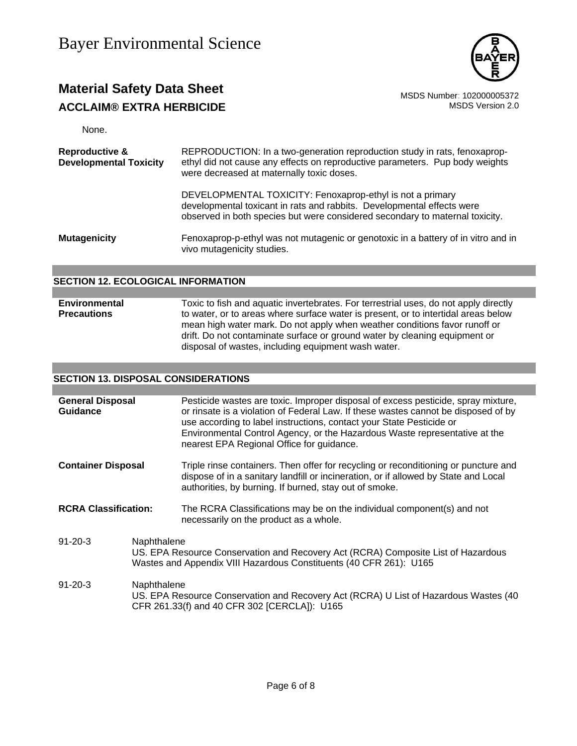

### **Material Safety Data Sheet**<br>**ACCLAIM® EXTRA HERBICIDE** MSDS Number: 102000005372<br>MSDS Version 2.0 **ACCLAIM® EXTRA HERBICIDE**

None.

| <b>Reproductive &amp;</b><br><b>Developmental Toxicity</b> | REPRODUCTION: In a two-generation reproduction study in rats, fenoxaprop-<br>ethyl did not cause any effects on reproductive parameters. Pup body weights<br>were decreased at maternally toxic doses.              |  |
|------------------------------------------------------------|---------------------------------------------------------------------------------------------------------------------------------------------------------------------------------------------------------------------|--|
|                                                            | DEVELOPMENTAL TOXICITY: Fenoxaprop-ethyl is not a primary<br>developmental toxicant in rats and rabbits. Developmental effects were<br>observed in both species but were considered secondary to maternal toxicity. |  |
| <b>Mutagenicity</b>                                        | Fenoxaprop-p-ethyl was not mutagenic or genotoxic in a battery of in vitro and in<br>vivo mutagenicity studies.                                                                                                     |  |

#### **SECTION 12. ECOLOGICAL INFORMATION**

#### **Environmental Precautions**  Toxic to fish and aquatic invertebrates. For terrestrial uses, do not apply directly to water, or to areas where surface water is present, or to intertidal areas below mean high water mark. Do not apply when weather conditions favor runoff or drift. Do not contaminate surface or ground water by cleaning equipment or disposal of wastes, including equipment wash water.

#### **SECTION 13. DISPOSAL CONSIDERATIONS**

| <b>General Disposal</b><br><b>Guidance</b> |                                                                                                                                                                        | Pesticide wastes are toxic. Improper disposal of excess pesticide, spray mixture,<br>or rinsate is a violation of Federal Law. If these wastes cannot be disposed of by<br>use according to label instructions, contact your State Pesticide or<br>Environmental Control Agency, or the Hazardous Waste representative at the<br>nearest EPA Regional Office for guidance. |  |
|--------------------------------------------|------------------------------------------------------------------------------------------------------------------------------------------------------------------------|----------------------------------------------------------------------------------------------------------------------------------------------------------------------------------------------------------------------------------------------------------------------------------------------------------------------------------------------------------------------------|--|
| <b>Container Disposal</b>                  |                                                                                                                                                                        | Triple rinse containers. Then offer for recycling or reconditioning or puncture and<br>dispose of in a sanitary landfill or incineration, or if allowed by State and Local<br>authorities, by burning. If burned, stay out of smoke.                                                                                                                                       |  |
| <b>RCRA Classification:</b>                |                                                                                                                                                                        | The RCRA Classifications may be on the individual component(s) and not<br>necessarily on the product as a whole.                                                                                                                                                                                                                                                           |  |
| $91 - 20 - 3$                              | Naphthalene<br>US. EPA Resource Conservation and Recovery Act (RCRA) Composite List of Hazardous<br>Wastes and Appendix VIII Hazardous Constituents (40 CFR 261): U165 |                                                                                                                                                                                                                                                                                                                                                                            |  |
| $91 - 20 - 3$                              | Naphthalene<br>US. EPA Resource Conservation and Recovery Act (RCRA) U List of Hazardous Wastes (40<br>CFR 261.33(f) and 40 CFR 302 [CERCLA]): U165                    |                                                                                                                                                                                                                                                                                                                                                                            |  |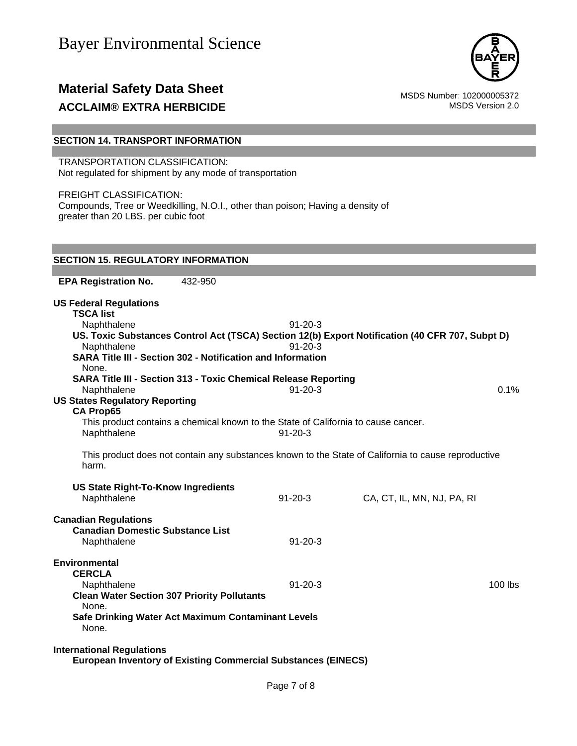

### **Material Safety Data Sheet**<br>**ACCLAIM® EXTRA HERBICIDE** MSDS Number: 102000005372<br>MSDS Version 2.0 **ACCLAIM® EXTRA HERBICIDE**

#### **SECTION 14. TRANSPORT INFORMATION**

TRANSPORTATION CLASSIFICATION: Not regulated for shipment by any mode of transportation

FREIGHT CLASSIFICATION: Compounds, Tree or Weedkilling, N.O.I., other than poison; Having a density of greater than 20 LBS. per cubic foot

#### **SECTION 15. REGULATORY INFORMATION**

**EPA Registration No.** 432-950 **US Federal Regulations TSCA list** Naphthalene 91-20-3 **US. Toxic Substances Control Act (TSCA) Section 12(b) Export Notification (40 CFR 707, Subpt D)** Naphthalene 91-20-3 **SARA Title III - Section 302 - Notification and Information** None. **SARA Title III - Section 313 - Toxic Chemical Release Reporting** Naphthalene 0.1% 0.1% **US States Regulatory Reporting CA Prop65** This product contains a chemical known to the State of California to cause cancer. Naphthalene 91-20-3 This product does not contain any substances known to the State of California to cause reproductive harm. **US State Right-To-Know Ingredients** Naphthalene 91-20-3 CA, CT, IL, MN, NJ, PA, RI **Canadian Regulations Canadian Domestic Substance List**  Naphthalene 91-20-3 **Environmental CERCLA**  Naphthalene 91-20-3 100 lbs **Clean Water Section 307 Priority Pollutants**  None. **Safe Drinking Water Act Maximum Contaminant Levels**  None. **International Regulations European Inventory of Existing Commercial Substances (EINECS)**